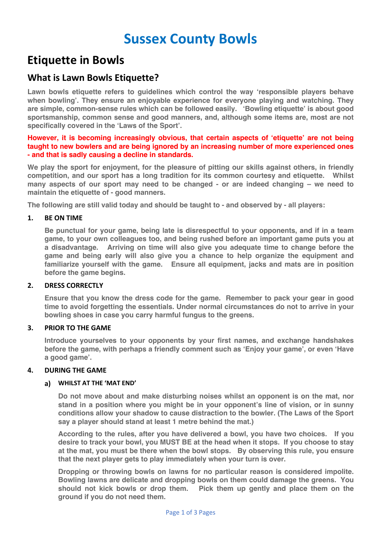# **Sussex County Bowls**

## **Etiquette in Bowls**

## **What is Lawn Bowls Etiquette?**

**Lawn bowls etiquette refers to guidelines which control the way 'responsible players behave when bowling'. They ensure an enjoyable experience for everyone playing and watching. They are simple, common-sense rules which can be followed easily. 'Bowling etiquette' is about good sportsmanship, common sense and good manners, and, although some items are, most are not specifically covered in the 'Laws of the Sport'.** 

#### **However, it is becoming increasingly obvious, that certain aspects of 'etiquette' are not being taught to new bowlers and are being ignored by an increasing number of more experienced ones - and that is sadly causing a decline in standards.**

**We play the sport for enjoyment, for the pleasure of pitting our skills against others, in friendly competition, and our sport has a long tradition for its common courtesy and etiquette. Whilst many aspects of our sport may need to be changed - or are indeed changing – we need to maintain the etiquette of - good manners.**

**The following are still valid today and should be taught to - and observed by - all players:**

#### **1. BE ON TIME**

**Be punctual for your game, being late is disrespectful to your opponents, and if in a team game, to your own colleagues too, and being rushed before an important game puts you at a disadvantage. Arriving on time will also give you adequate time to change before the game and being early will also give you a chance to help organize the equipment and familiarize yourself with the game. Ensure all equipment, jacks and mats are in position before the game begins.**

#### **2. DRESS CORRECTLY**

**Ensure that you know the dress code for the game. Remember to pack your gear in good time to avoid forgetting the essentials. Under normal circumstances do not to arrive in your bowling shoes in case you carry harmful fungus to the greens.**

#### **3. PRIOR TO THE GAME**

**Introduce yourselves to your opponents by your first names, and exchange handshakes before the game, with perhaps a friendly comment such as 'Enjoy your game', or even 'Have a good game'.**

#### **4. DURING THE GAME**

#### **a) WHILST AT THE 'MAT END'**

**Do not move about and make disturbing noises whilst an opponent is on the mat, nor stand in a position where you might be in your opponent's line of vision, or in sunny conditions allow your shadow to cause distraction to the bowler. (The Laws of the Sport say a player should stand at least 1 metre behind the mat.)**

**According to the rules, after you have delivered a bowl, you have two choices. If you desire to track your bowl, you MUST BE at the head when it stops. If you choose to stay at the mat, you must be there when the bowl stops. By observing this rule, you ensure that the next player gets to play immediately when your turn is over.** 

**Dropping or throwing bowls on lawns for no particular reason is considered impolite. Bowling lawns are delicate and dropping bowls on them could damage the greens. You should not kick bowls or drop them. Pick them up gently and place them on the ground if you do not need them.**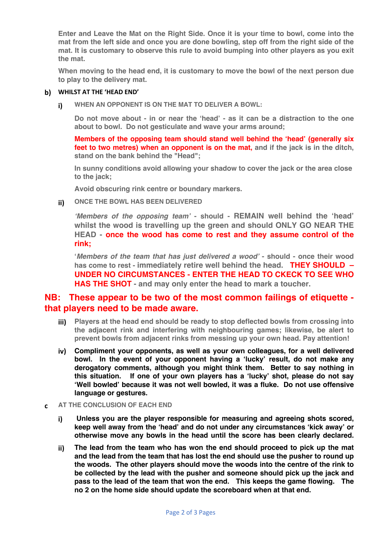**Enter and Leave the Mat on the Right Side. Once it is your time to bowl, come into the mat from the left side and once you are done bowling, step off from the right side of the mat. It is customary to observe this rule to avoid bumping into other players as you exit the mat.**

**When moving to the head end, it is customary to move the bowl of the next person due to play to the delivery mat.**

#### **b) WHILST AT THE 'HEAD END'**

**i) WHEN AN OPPONENT IS ON THE MAT TO DELIVER A BOWL:**

**Do not move about - in or near the 'head' - as it can be a distraction to the one about to bowl. Do not gesticulate and wave your arms around;**

**Members of the opposing team should stand well behind the 'head' (generally six feet to two metres) when an opponent is on the mat, and if the jack is in the ditch, stand on the bank behind the "Head";**

**In sunny conditions avoid allowing your shadow to cover the jack or the area close to the jack;**

**Avoid obscuring rink centre or boundary markers.**

**ii) ONCE THE BOWL HAS BEEN DELIVERED**

*'Members of the opposing team'* **- should - REMAIN well behind the 'head' whilst the wood is travelling up the green and should ONLY GO NEAR THE HEAD - once the wood has come to rest and they assume control of the rink;**

**'***Members of the team that has just delivered a wood'* **- should - once their wood has come to rest - immediately retire well behind the head. THEY SHOULD – UNDER NO CIRCUMSTANCES - ENTER THE HEAD TO CKECK TO SEE WHO HAS THE SHOT - and may only enter the head to mark a toucher.**

### **NB: These appear to be two of the most common failings of etiquette that players need to be made aware.**

- **iii) Players at the head end should be ready to stop deflected bowls from crossing into the adjacent rink and interfering with neighbouring games; likewise, be alert to prevent bowls from adjacent rinks from messing up your own head. Pay attention!**
- **iv) Compliment your opponents, as well as your own colleagues, for a well delivered bowl. In the event of your opponent having a 'lucky' result, do not make any derogatory comments, although you might think them. Better to say nothing in this situation. If one of your own players has a 'lucky' shot, please do not say 'Well bowled' because it was not well bowled, it was a fluke. Do not use offensive language or gestures.**
- **c AT THE CONCLUSION OF EACH END**
	- **i) Unless you are the player responsible for measuring and agreeing shots scored, keep well away from the 'head' and do not under any circumstances 'kick away' or otherwise move any bowls in the head until the score has been clearly declared.**
	- **ii) The lead from the team who has won the end should proceed to pick up the mat and the lead from the team that has lost the end should use the pusher to round up the woods. The other players should move the woods into the centre of the rink to be collected by the lead with the pusher and someone should pick up the jack and pass to the lead of the team that won the end. This keeps the game flowing. The no 2 on the home side should update the scoreboard when at that end.**